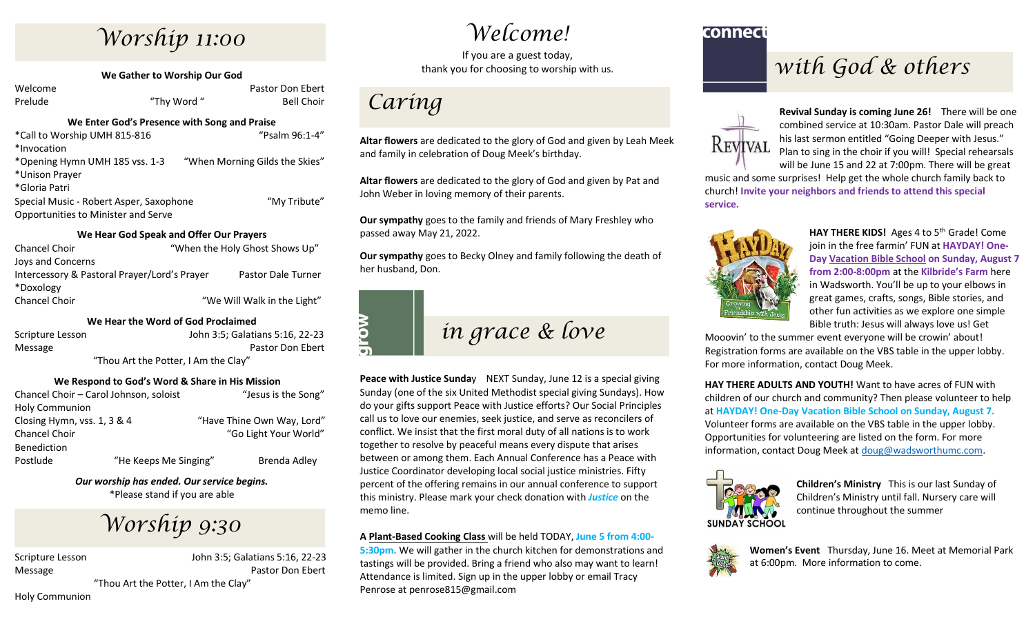## *Worship 11:00*

**We Gather to Worship Our God**

| Welcome |             | Pastor Don Ebert  |
|---------|-------------|-------------------|
| Prelude | "Thy Word " | <b>Bell Choir</b> |

#### **We Enter God's Presence with Song and Praise**

| *Call to Worship UMH 815-816            | "Psalm 96:1-4"                 |
|-----------------------------------------|--------------------------------|
| *Invocation                             |                                |
| *Opening Hymn UMH 185 vss. 1-3          | "When Morning Gilds the Skies" |
| *Unison Prayer                          |                                |
| *Gloria Patri                           |                                |
| Special Music - Robert Asper, Saxophone | "My Tribute"                   |
| Opportunities to Minister and Serve     |                                |
|                                         |                                |

#### **We Hear God Speak and Offer Our Prayers**

| Chancel Choir                                | "When the Holy Ghost Shows Up" |                             |  |
|----------------------------------------------|--------------------------------|-----------------------------|--|
| Joys and Concerns                            |                                |                             |  |
| Intercessory & Pastoral Prayer/Lord's Prayer |                                | Pastor Dale Turner          |  |
| *Doxology                                    |                                |                             |  |
| Chancel Choir                                |                                | "We Will Walk in the Light" |  |

#### **We Hear the Word of God Proclaimed**

| Scripture Lesson                     | John 3:5: Galatians 5:16, 22-23 |  |  |
|--------------------------------------|---------------------------------|--|--|
| Message                              | Pastor Don Ebert                |  |  |
| "Thou Art the Potter, I Am the Clay" |                                 |  |  |

#### **We Respond to God's Word & Share in His Mission**

| Chancel Choir - Carol Johnson, soloist |                       | "Jesus is the Song"        |  |
|----------------------------------------|-----------------------|----------------------------|--|
| <b>Holy Communion</b>                  |                       |                            |  |
| Closing Hymn, vss. 1, 3 & 4            |                       | "Have Thine Own Way, Lord" |  |
| Chancel Choir                          |                       | "Go Light Your World"      |  |
| Benediction                            |                       |                            |  |
| Postlude                               | "He Keeps Me Singing" | Brenda Adley               |  |

*Our worship has ended. Our service begins.* \*Please stand if you are able

## *Worship 9:30*

Scripture Lesson John 3:5; Galatians 5:16, 22-23 Message Pastor Don Ebert

"Thou Art the Potter, I Am the Clay"

Holy Communion

*Welcome!*

If you are a guest today, thank you for choosing to worship with us.

## *Caring*

**Altar flowers** are dedicated to the glory of God and given by Leah Meek and family in celebration of Doug Meek's birthday.

**Altar flowers** are dedicated to the glory of God and given by Pat and John Weber in loving memory of their parents.

**Our sympathy** goes to the family and friends of Mary Freshley who passed away May 21, 2022.

**Our sympathy** goes to Becky Olney and family following the death of her husband, Don.

# **MC**

## *in grace & love*

**Peace with Justice Sunday** NEXT Sunday, June 12 is a special giving Sunday (one of the six United Methodist special giving Sundays). How do your gifts support Peace with Justice efforts? Our Social Principles call us to love our enemies, seek justice, and serve as reconcilers of conflict. We insist that the first moral duty of all nations is to work together to resolve by peaceful means every dispute that arises between or among them. Each Annual Conference has a Peace with Justice Coordinator developing local social justice ministries. Fifty percent of the offering remains in our annual conference to support this ministry. Please mark your check donation with *Justice* on the memo line.

#### **A Plant-Based Cooking Class** will be held TODAY, **June 5 from 4:00-**

**5:30pm.** We will gather in the church kitchen for demonstrations and tastings will be provided. Bring a friend who also may want to learn! Attendance is limited. Sign up in the upper lobby or email Tracy Penrose at penrose815@gmail.com

#### connect

## *with God & others*



**Revival Sunday is coming June 26!** There will be one combined service at 10:30am. Pastor Dale will preach his last sermon entitled "Going Deeper with Jesus." Plan to sing in the choir if you will! Special rehearsals will be June 15 and 22 at 7:00pm. There will be great

music and some surprises! Help get the whole church family back to church! **Invite your neighbors and friends to attend this special service.**



HAY THERE KIDS! Ages 4 to 5<sup>th</sup> Grade! Come join in the free farmin' FUN at **HAYDAY! One-Day Vacation Bible School on Sunday, August 7 from 2:00-8:00pm** at the **Kilbride's Farm** here in Wadsworth. You'll be up to your elbows in great games, crafts, songs, Bible stories, and other fun activities as we explore one simple Bible truth: Jesus will always love us! Get

Mooovin' to the summer event everyone will be crowin' about! Registration forms are available on the VBS table in the upper lobby. For more information, contact Doug Meek.

**HAY THERE ADULTS AND YOUTH!** Want to have acres of FUN with children of our church and community? Then please volunteer to help at **HAYDAY! One-Day Vacation Bible School on Sunday, August 7.** Volunteer forms are available on the VBS table in the upper lobby. Opportunities for volunteering are listed on the form. For more information, contact Doug Meek at [doug@wadsworthumc.com.](mailto:doug@wadsworthumc.com)



**Children's Ministry** This is our last Sunday of Children's Ministry until fall. Nursery care will continue throughout the summer



**Women's Event** Thursday, June 16. Meet at Memorial Park at 6:00pm. More information to come.